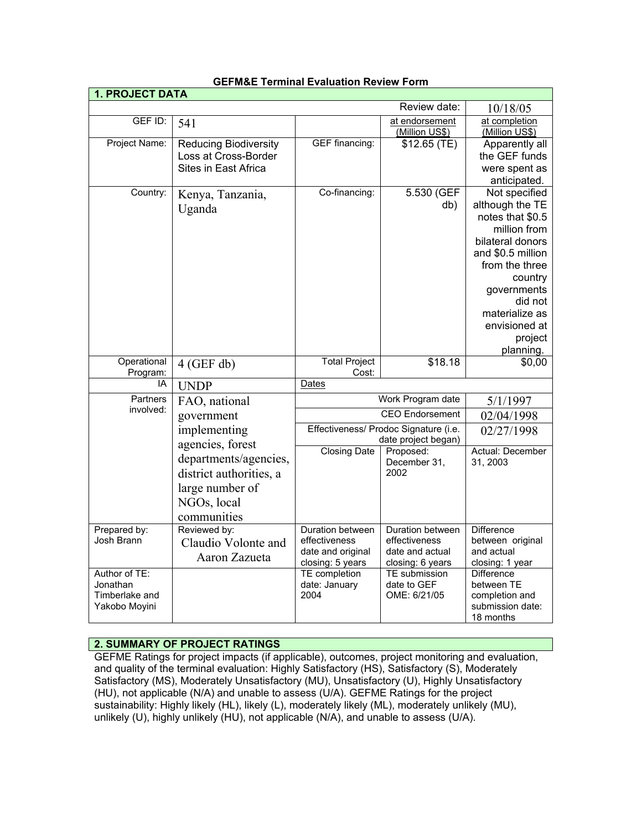| <b>1. PROJECT DATA</b>                                       |                                                                                                   |                                                                            |                                                                          |                                                                                                                                                                                                                                 |  |
|--------------------------------------------------------------|---------------------------------------------------------------------------------------------------|----------------------------------------------------------------------------|--------------------------------------------------------------------------|---------------------------------------------------------------------------------------------------------------------------------------------------------------------------------------------------------------------------------|--|
|                                                              |                                                                                                   |                                                                            | Review date:                                                             | 10/18/05                                                                                                                                                                                                                        |  |
| GEF ID:                                                      | 541                                                                                               |                                                                            | at endorsement<br>(Million US\$)                                         | at completion<br>(Million US\$)                                                                                                                                                                                                 |  |
| Project Name:                                                | <b>Reducing Biodiversity</b><br>Loss at Cross-Border<br>Sites in East Africa                      | <b>GEF</b> financing:                                                      | \$12.65(TE)                                                              | Apparently all<br>the GEF funds<br>were spent as<br>anticipated.                                                                                                                                                                |  |
| Country:                                                     | Kenya, Tanzania,<br>Uganda                                                                        | Co-financing:                                                              | 5.530 (GEF<br>db)                                                        | Not specified<br>although the TE<br>notes that \$0.5<br>million from<br>bilateral donors<br>and \$0.5 million<br>from the three<br>country<br>governments<br>did not<br>materialize as<br>envisioned at<br>project<br>planning. |  |
| Operational<br>Program:                                      | $4$ (GEF db)                                                                                      | <b>Total Project</b><br>Cost:                                              | \$18.18                                                                  | \$0,00                                                                                                                                                                                                                          |  |
| IA                                                           | <b>UNDP</b>                                                                                       | Dates                                                                      |                                                                          |                                                                                                                                                                                                                                 |  |
| Partners<br>involved:                                        | FAO, national<br>government<br>implementing<br>agencies, forest                                   |                                                                            | Work Program date<br><b>CEO Endorsement</b>                              | 5/1/1997                                                                                                                                                                                                                        |  |
|                                                              |                                                                                                   |                                                                            |                                                                          | 02/04/1998                                                                                                                                                                                                                      |  |
|                                                              |                                                                                                   | Effectiveness/ Prodoc Signature (i.e.<br>date project began)               |                                                                          | 02/27/1998                                                                                                                                                                                                                      |  |
|                                                              | departments/agencies,<br>district authorities, a<br>large number of<br>NGOs, local<br>communities | <b>Closing Date</b>                                                        | Proposed:<br>December 31,<br>2002                                        | Actual: December<br>31, 2003                                                                                                                                                                                                    |  |
| Prepared by:<br>Josh Brann                                   | Reviewed by:<br>Claudio Volonte and<br>Aaron Zazueta                                              | Duration between<br>effectiveness<br>date and original<br>closing: 5 years | Duration between<br>effectiveness<br>date and actual<br>closing: 6 years | <b>Difference</b><br>between original<br>and actual<br>closing: 1 year                                                                                                                                                          |  |
| Author of TE:<br>Jonathan<br>Timberlake and<br>Yakobo Moyini |                                                                                                   | TE completion<br>date: January<br>2004                                     | <b>TE</b> submission<br>date to GEF<br>OME: 6/21/05                      | Difference<br>between TE<br>completion and<br>submission date:<br>18 months                                                                                                                                                     |  |

## **GEFM&E Terminal Evaluation Review Form**

## **2. SUMMARY OF PROJECT RATINGS**

GEFME Ratings for project impacts (if applicable), outcomes, project monitoring and evaluation, and quality of the terminal evaluation: Highly Satisfactory (HS), Satisfactory (S), Moderately Satisfactory (MS), Moderately Unsatisfactory (MU), Unsatisfactory (U), Highly Unsatisfactory (HU), not applicable (N/A) and unable to assess (U/A). GEFME Ratings for the project sustainability: Highly likely (HL), likely (L), moderately likely (ML), moderately unlikely (MU), unlikely (U), highly unlikely (HU), not applicable (N/A), and unable to assess (U/A).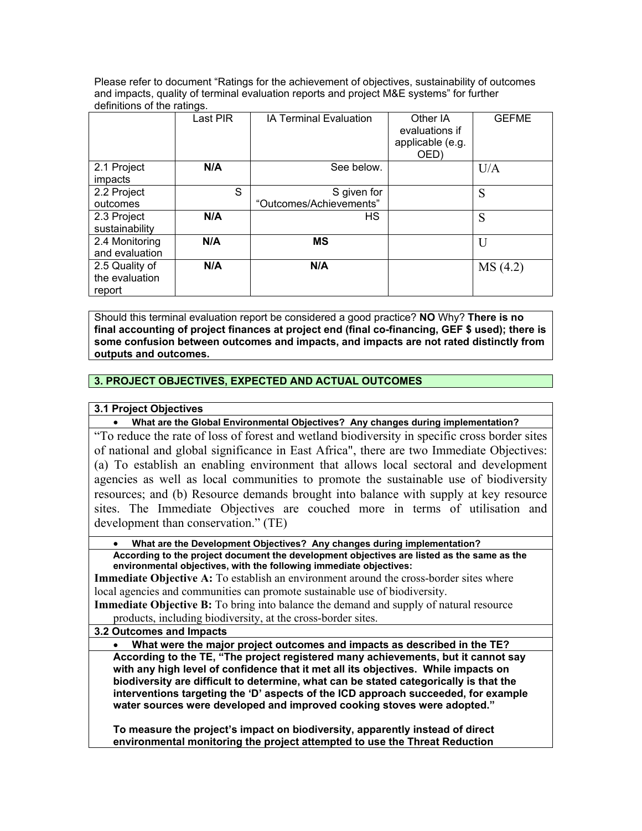Please refer to document "Ratings for the achievement of objectives, sustainability of outcomes and impacts, quality of terminal evaluation reports and project M&E systems" for further definitions of the ratings.

|                | Last PIR | IA Terminal Evaluation  | Other IA<br>evaluations if<br>applicable (e.g.<br>OED) | <b>GEFME</b> |
|----------------|----------|-------------------------|--------------------------------------------------------|--------------|
| 2.1 Project    | N/A      | See below.              |                                                        | U/A          |
| impacts        |          |                         |                                                        |              |
| 2.2 Project    | S        | S given for             |                                                        | S            |
| outcomes       |          | "Outcomes/Achievements" |                                                        |              |
| 2.3 Project    | N/A      | HS.                     |                                                        | S            |
| sustainability |          |                         |                                                        |              |
| 2.4 Monitoring | N/A      | <b>MS</b>               |                                                        | U            |
| and evaluation |          |                         |                                                        |              |
| 2.5 Quality of | N/A      | N/A                     |                                                        | MS(4.2)      |
| the evaluation |          |                         |                                                        |              |
| report         |          |                         |                                                        |              |

Should this terminal evaluation report be considered a good practice? **NO** Why? **There is no final accounting of project finances at project end (final co-financing, GEF \$ used); there is some confusion between outcomes and impacts, and impacts are not rated distinctly from outputs and outcomes.**

# **3. PROJECT OBJECTIVES, EXPECTED AND ACTUAL OUTCOMES**

## **3.1 Project Objectives**

• **What are the Global Environmental Objectives? Any changes during implementation?**

"To reduce the rate of loss of forest and wetland biodiversity in specific cross border sites of national and global significance in East Africa", there are two Immediate Objectives: (a) To establish an enabling environment that allows local sectoral and development agencies as well as local communities to promote the sustainable use of biodiversity resources; and (b) Resource demands brought into balance with supply at key resource sites. The Immediate Objectives are couched more in terms of utilisation and development than conservation." (TE)

• **What are the Development Objectives? Any changes during implementation?**

**According to the project document the development objectives are listed as the same as the environmental objectives, with the following immediate objectives:** 

**Immediate Objective A:** To establish an environment around the cross-border sites where local agencies and communities can promote sustainable use of biodiversity.

**Immediate Objective B:** To bring into balance the demand and supply of natural resource products, including biodiversity, at the cross-border sites.

**3.2 Outcomes and Impacts**

• **What were the major project outcomes and impacts as described in the TE?**

**According to the TE, "The project registered many achievements, but it cannot say with any high level of confidence that it met all its objectives. While impacts on biodiversity are difficult to determine, what can be stated categorically is that the interventions targeting the 'D' aspects of the ICD approach succeeded, for example water sources were developed and improved cooking stoves were adopted."** 

**To measure the project's impact on biodiversity, apparently instead of direct environmental monitoring the project attempted to use the Threat Reduction**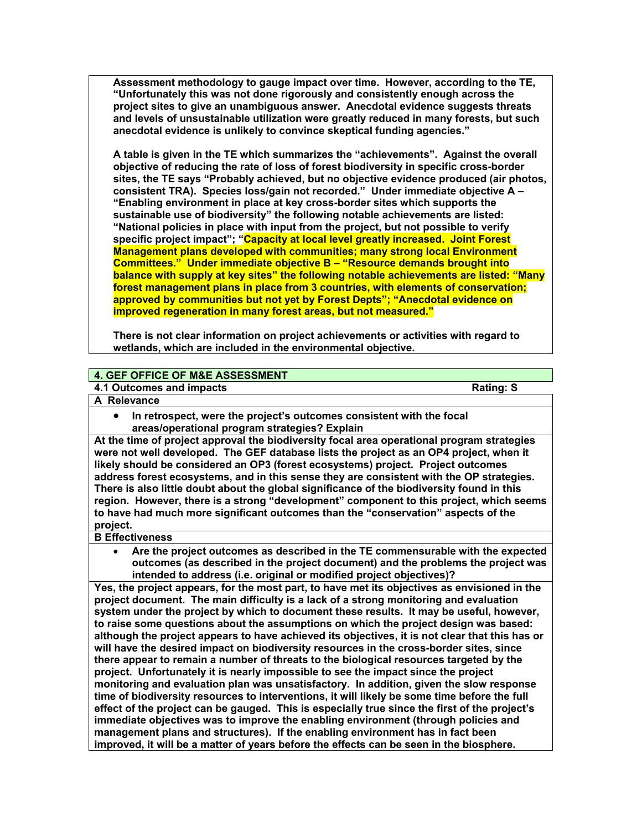**Assessment methodology to gauge impact over time. However, according to the TE, "Unfortunately this was not done rigorously and consistently enough across the project sites to give an unambiguous answer. Anecdotal evidence suggests threats and levels of unsustainable utilization were greatly reduced in many forests, but such anecdotal evidence is unlikely to convince skeptical funding agencies."**

**A table is given in the TE which summarizes the "achievements". Against the overall objective of reducing the rate of loss of forest biodiversity in specific cross-border sites, the TE says "Probably achieved, but no objective evidence produced (air photos, consistent TRA). Species loss/gain not recorded." Under immediate objective A – "Enabling environment in place at key cross-border sites which supports the sustainable use of biodiversity" the following notable achievements are listed: "National policies in place with input from the project, but not possible to verify specific project impact"; "Capacity at local level greatly increased. Joint Forest Management plans developed with communities; many strong local Environment Committees." Under immediate objective B – "Resource demands brought into balance with supply at key sites" the following notable achievements are listed: "Many forest management plans in place from 3 countries, with elements of conservation; approved by communities but not yet by Forest Depts"; "Anecdotal evidence on improved regeneration in many forest areas, but not measured."**

**There is not clear information on project achievements or activities with regard to wetlands, which are included in the environmental objective.** 

## **4. GEF OFFICE OF M&E ASSESSMENT**

**4.1 Outcomes and impacts Rating: S** 

- **A Relevance** 
	- **In retrospect, were the project's outcomes consistent with the focal areas/operational program strategies? Explain**

**At the time of project approval the biodiversity focal area operational program strategies were not well developed. The GEF database lists the project as an OP4 project, when it likely should be considered an OP3 (forest ecosystems) project. Project outcomes address forest ecosystems, and in this sense they are consistent with the OP strategies. There is also little doubt about the global significance of the biodiversity found in this region. However, there is a strong "development" component to this project, which seems to have had much more significant outcomes than the "conservation" aspects of the project.** 

#### **B Effectiveness**

• **Are the project outcomes as described in the TE commensurable with the expected outcomes (as described in the project document) and the problems the project was intended to address (i.e. original or modified project objectives)?** 

**Yes, the project appears, for the most part, to have met its objectives as envisioned in the project document. The main difficulty is a lack of a strong monitoring and evaluation system under the project by which to document these results. It may be useful, however, to raise some questions about the assumptions on which the project design was based: although the project appears to have achieved its objectives, it is not clear that this has or will have the desired impact on biodiversity resources in the cross-border sites, since there appear to remain a number of threats to the biological resources targeted by the project. Unfortunately it is nearly impossible to see the impact since the project monitoring and evaluation plan was unsatisfactory. In addition, given the slow response time of biodiversity resources to interventions, it will likely be some time before the full effect of the project can be gauged. This is especially true since the first of the project's immediate objectives was to improve the enabling environment (through policies and management plans and structures). If the enabling environment has in fact been improved, it will be a matter of years before the effects can be seen in the biosphere.**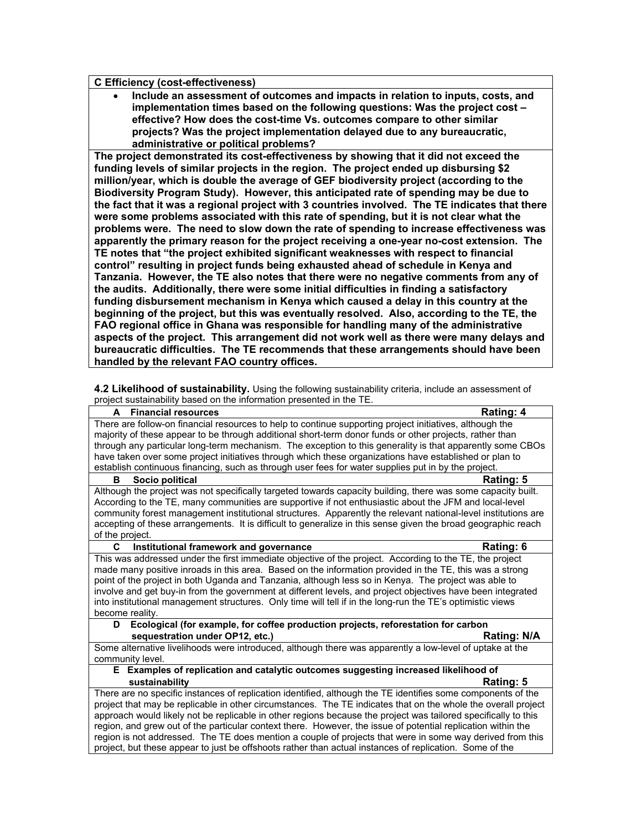#### **C Efficiency (cost-effectiveness)**

• **Include an assessment of outcomes and impacts in relation to inputs, costs, and implementation times based on the following questions: Was the project cost – effective? How does the cost-time Vs. outcomes compare to other similar projects? Was the project implementation delayed due to any bureaucratic, administrative or political problems?**

**The project demonstrated its cost-effectiveness by showing that it did not exceed the funding levels of similar projects in the region. The project ended up disbursing \$2 million/year, which is double the average of GEF biodiversity project (according to the Biodiversity Program Study). However, this anticipated rate of spending may be due to the fact that it was a regional project with 3 countries involved. The TE indicates that there were some problems associated with this rate of spending, but it is not clear what the problems were. The need to slow down the rate of spending to increase effectiveness was apparently the primary reason for the project receiving a one-year no-cost extension. The TE notes that "the project exhibited significant weaknesses with respect to financial control" resulting in project funds being exhausted ahead of schedule in Kenya and Tanzania. However, the TE also notes that there were no negative comments from any of the audits. Additionally, there were some initial difficulties in finding a satisfactory funding disbursement mechanism in Kenya which caused a delay in this country at the beginning of the project, but this was eventually resolved. Also, according to the TE, the FAO regional office in Ghana was responsible for handling many of the administrative aspects of the project. This arrangement did not work well as there were many delays and bureaucratic difficulties. The TE recommends that these arrangements should have been handled by the relevant FAO country offices.** 

**4.2 Likelihood of sustainability.** Using the following sustainability criteria, include an assessment of project sustainability based on the information presented in the TE.

| biopole sustainability based on the implifiation presented in the TE.                                          |             |  |  |
|----------------------------------------------------------------------------------------------------------------|-------------|--|--|
| <b>Financial resources</b><br>A                                                                                | Rating: 4   |  |  |
| There are follow-on financial resources to help to continue supporting project initiatives, although the       |             |  |  |
| majority of these appear to be through additional short-term donor funds or other projects, rather than        |             |  |  |
| through any particular long-term mechanism. The exception to this generality is that apparently some CBOs      |             |  |  |
| have taken over some project initiatives through which these organizations have established or plan to         |             |  |  |
| establish continuous financing, such as through user fees for water supplies put in by the project.            |             |  |  |
| в<br>Socio political                                                                                           | Rating: 5   |  |  |
| Although the project was not specifically targeted towards capacity building, there was some capacity built.   |             |  |  |
| According to the TE, many communities are supportive if not enthusiastic about the JFM and local-level         |             |  |  |
| community forest management institutional structures. Apparently the relevant national-level institutions are  |             |  |  |
| accepting of these arrangements. It is difficult to generalize in this sense given the broad geographic reach  |             |  |  |
| of the project.                                                                                                |             |  |  |
| C<br>Institutional framework and governance                                                                    | Rating: 6   |  |  |
| This was addressed under the first immediate objective of the project. According to the TE, the project        |             |  |  |
| made many positive inroads in this area. Based on the information provided in the TE, this was a strong        |             |  |  |
| point of the project in both Uganda and Tanzania, although less so in Kenya. The project was able to           |             |  |  |
| involve and get buy-in from the government at different levels, and project objectives have been integrated    |             |  |  |
| into institutional management structures. Only time will tell if in the long-run the TE's optimistic views     |             |  |  |
| become reality.                                                                                                |             |  |  |
| Ecological (for example, for coffee production projects, reforestation for carbon<br>D                         |             |  |  |
| sequestration under OP12, etc.)                                                                                | Rating: N/A |  |  |
| Some alternative livelihoods were introduced, although there was apparently a low-level of uptake at the       |             |  |  |
| community level.                                                                                               |             |  |  |
| E Examples of replication and catalytic outcomes suggesting increased likelihood of                            |             |  |  |
| sustainability                                                                                                 | Rating: 5   |  |  |
| There are no specific instances of replication identified, although the TE identifies some components of the   |             |  |  |
| project that may be replicable in other circumstances. The TE indicates that on the whole the overall project  |             |  |  |
| approach would likely not be replicable in other regions because the project was tailored specifically to this |             |  |  |
| region, and grew out of the particular context there. However, the issue of potential replication within the   |             |  |  |
| region is not addressed. The TE does mention a couple of projects that were in some way derived from this      |             |  |  |
| project, but these appear to just be offshoots rather than actual instances of replication. Some of the        |             |  |  |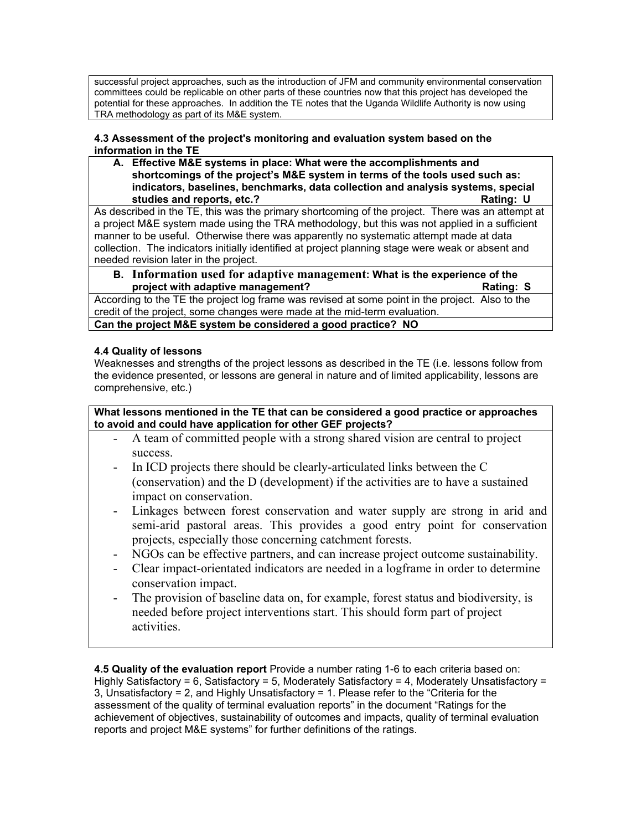successful project approaches, such as the introduction of JFM and community environmental conservation committees could be replicable on other parts of these countries now that this project has developed the potential for these approaches. In addition the TE notes that the Uganda Wildlife Authority is now using TRA methodology as part of its M&E system.

## **4.3 Assessment of the project's monitoring and evaluation system based on the information in the TE**

**A. Effective M&E systems in place: What were the accomplishments and shortcomings of the project's M&E system in terms of the tools used such as: indicators, baselines, benchmarks, data collection and analysis systems, special studies and reports, etc.?** All and the studies and reports, etc.?

As described in the TE, this was the primary shortcoming of the project. There was an attempt at a project M&E system made using the TRA methodology, but this was not applied in a sufficient manner to be useful. Otherwise there was apparently no systematic attempt made at data collection. The indicators initially identified at project planning stage were weak or absent and needed revision later in the project.

**B. Information used for adaptive management: What is the experience of the project with adaptive management?** The control of the control of the Rating: S

According to the TE the project log frame was revised at some point in the project. Also to the credit of the project, some changes were made at the mid-term evaluation.

**Can the project M&E system be considered a good practice? NO**

# **4.4 Quality of lessons**

Weaknesses and strengths of the project lessons as described in the TE (i.e. lessons follow from the evidence presented, or lessons are general in nature and of limited applicability, lessons are comprehensive, etc.)

## **What lessons mentioned in the TE that can be considered a good practice or approaches to avoid and could have application for other GEF projects?**

- A team of committed people with a strong shared vision are central to project success.
- In ICD projects there should be clearly-articulated links between the C (conservation) and the D (development) if the activities are to have a sustained impact on conservation.
- Linkages between forest conservation and water supply are strong in arid and semi-arid pastoral areas. This provides a good entry point for conservation projects, especially those concerning catchment forests.
- NGOs can be effective partners, and can increase project outcome sustainability.
- Clear impact-orientated indicators are needed in a logframe in order to determine conservation impact.
- The provision of baseline data on, for example, forest status and biodiversity, is needed before project interventions start. This should form part of project activities.

**4.5 Quality of the evaluation report** Provide a number rating 1-6 to each criteria based on: Highly Satisfactory = 6, Satisfactory = 5, Moderately Satisfactory = 4, Moderately Unsatisfactory = 3, Unsatisfactory = 2, and Highly Unsatisfactory = 1. Please refer to the "Criteria for the assessment of the quality of terminal evaluation reports" in the document "Ratings for the achievement of objectives, sustainability of outcomes and impacts, quality of terminal evaluation reports and project M&E systems" for further definitions of the ratings.